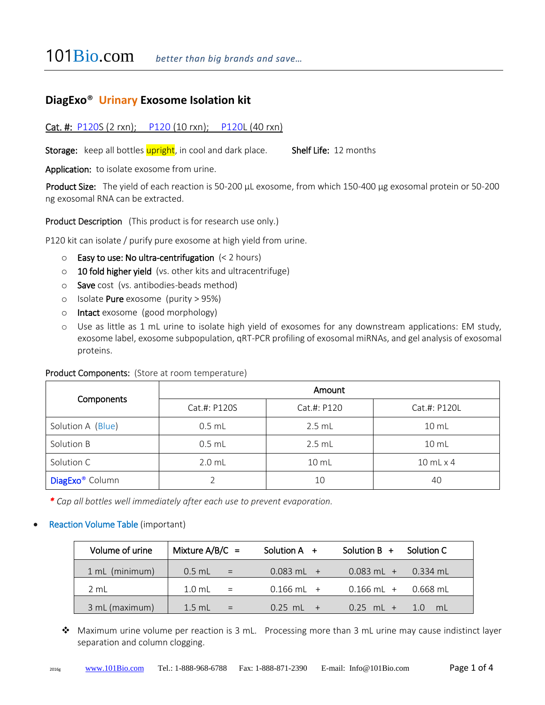# **DiagExo**® **Urinary Exosome Isolation kit**

## Cat. #: P120S (2 rxn); P120 (10 rxn); P120L (40 rxn)

Storage: keep all bottles upright, in cool and dark place. Shelf Life: 12 months

Application: to isolate exosome from urine.

Product Size: The yield of each reaction is 50-200 µL exosome, from which 150-400 µg exosomal protein or 50-200 ng exosomal RNA can be extracted.

Product Description (This product is for research use only.)

P120 kit can isolate / purify pure exosome at high yield from urine.

- $\circ$  Easy to use: No ultra-centrifugation (< 2 hours)
- o 10 fold higher yield (vs. other kits and ultracentrifuge)
- $\circ$  Save cost (vs. antibodies-beads method)
- o Isolate Pure exosome (purity > 95%)
- o Intact exosome (good morphology)
- o Use as little as 1 mL urine to isolate high yield of exosomes for any downstream applications: EM study, exosome label, exosome subpopulation, qRT-PCR profiling of exosomal miRNAs, and gel analysis of exosomal proteins.

#### Product Components: (Store at room temperature)

| Components                  | Amount       |                  |                    |  |
|-----------------------------|--------------|------------------|--------------------|--|
|                             | Cat.#: P120S | Cat.#: P120      | Cat.#: P120L       |  |
| Solution A (Blue)           | $0.5$ mL     | $2.5$ mL         | 10 mL              |  |
| Solution B                  | $0.5$ mL     | $2.5$ mL         | $10 \text{ mL}$    |  |
| Solution C                  | $2.0$ mL     | 10 <sub>ml</sub> | $10$ mL $\times$ 4 |  |
| DiagExo <sup>®</sup> Column |              | 10               | 40                 |  |

*\* Cap all bottles well immediately after each use to prevent evaporation.*

#### Reaction Volume Table (important)

| Volume of urine | Mixture $A/B/C =$         | Solution $A +$ | Solution $B +$ Solution C |  |
|-----------------|---------------------------|----------------|---------------------------|--|
| 1 mL (minimum)  | $0.5$ mL =                | $0.083$ mL $+$ | $0.083$ mL + $0.334$ mL   |  |
| 2 mL            | $1.0$ mL =                | $0.166$ mL +   | $0.166$ ml + $0.668$ ml   |  |
| 3 mL (maximum)  | $1.5$ mL<br>$\sim$ $\sim$ | $0.25$ mL $+$  | $0.25$ mL + $1.0$ mL      |  |

 Maximum urine volume per reaction is 3 mL. Processing more than 3 mL urine may cause indistinct layer separation and column clogging.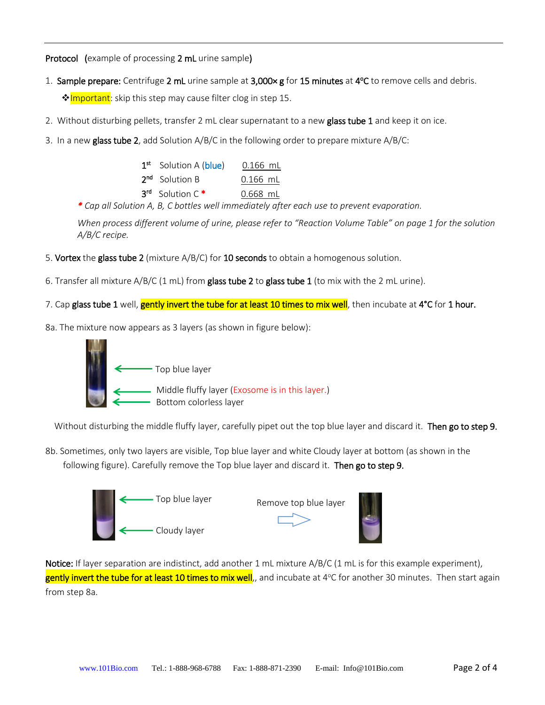Protocol (example of processing 2 mL urine sample)

- 1. Sample prepare: Centrifuge 2 mL urine sample at 3,000× g for 15 minutes at 4°C to remove cells and debris. **☆Important**: skip this step may cause filter clog in step 15.
- 2. Without disturbing pellets, transfer 2 mL clear supernatant to a new glass tube 1 and keep it on ice.
- 3. In a new glass tube 2, add Solution  $A/B/C$  in the following order to prepare mixture  $A/B/C$ :

| $0.166$ mL |
|------------|
| $0.166$ mL |
| $0.668$ mL |
|            |

*\* Cap all Solution A, B, C bottles well immediately after each use to prevent evaporation.*

*When process different volume of urine, please refer to "Reaction Volume Table" on page 1 for the solution A/B/C recipe.*

- 5. Vortex the glass tube 2 (mixture  $A/B/C$ ) for 10 seconds to obtain a homogenous solution.
- 6. Transfer all mixture  $A/B/C$  (1 mL) from glass tube 2 to glass tube 1 (to mix with the 2 mL urine).
- 7. Cap glass tube 1 well, gently invert the tube for at least 10 times to mix well, then incubate at 4°C for 1 hour.
- 8a. The mixture now appears as 3 layers (as shown in figure below):



Without disturbing the middle fluffy layer, carefully pipet out the top blue layer and discard it. Then go to step 9.

8b. Sometimes, only two layers are visible, Top blue layer and white Cloudy layer at bottom (as shown in the following figure). Carefully remove the Top blue layer and discard it. Then go to step 9.



Notice: If layer separation are indistinct, add another 1 mL mixture A/B/C (1 mL is for this example experiment), gently invert the tube for at least 10 times to mix well,, and incubate at 4°C for another 30 minutes. Then start again from step 8a.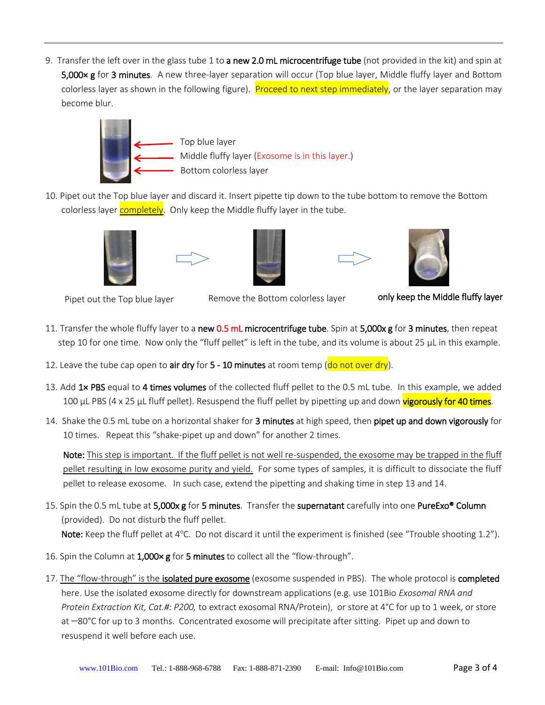9. Transfer the left over in the glass tube 1 to a new 2.0 mL microcentrifuge tube (not provided in the kit) and spin at 5,000 x g for 3 minutes. A new three-layer separation will occur (Top blue layer, Middle fluffy layer and Bottom colorless layer as shown in the following figure). Proceed to next step immediately, or the layer separation may become blur.



10. Pipet out the Top blue layer and discard it. Insert pipette tip down to the tube bottom to remove the Bottom colorless layer completely. Only keep the Middle fluffy layer in the tube.











Pipet out the Top blue layer Remove the Bottom colorless layer **noly keep the Middle fluffy layer** 

- 11. Transfer the whole fluffy layer to a new 0.5 mL microcentrifuge tube. Spin at 5,000x g for 3 minutes, then repeat step 10 for one time. Now only the "fluff pellet" is left in the tube, and its volume is about 25  $\mu$ L in this example.
- 12. Leave the tube cap open to air dry for  $5 10$  minutes at room temp (do not over dry).
- 13. Add 1× PBS equal to 4 times volumes of the collected fluff pellet to the 0.5 mL tube. In this example, we added 100 µL PBS (4 x 25 µL fluff pellet). Resuspend the fluff pellet by pipetting up and down vigorously for 40 times.
- 14. Shake the 0.5 mL tube on a horizontal shaker for 3 minutes at high speed, then pipet up and down vigorously for 10 times. Repeat this "shake-pipet up and down" for another 2 times.

Note: This step is important. If the fluff pellet is not well re-suspended, the exosome may be trapped in the fluff pellet resulting in low exosome purity and yield. For some types of samples, it is difficult to dissociate the fluff pellet to release exosome. In such case, extend the pipetting and shaking time in step 13 and 14.

- 15. Spin the 0.5 mL tube at 5,000x g for 5 minutes. Transfer the supernatant carefully into one PureExo® Column (provided). Do not disturb the fluff pellet. Note: Keep the fluff pellet at  $4^{\circ}$ C. Do not discard it until the experiment is finished (see "Trouble shooting 1.2").
- 16. Spin the Column at 1,000× g for 5 minutes to collect all the "flow-through".
- 17. The "flow-through" is the isolated pure exosome (exosome suspended in PBS). The whole protocol is completed here. Use the isolated exosome directly for downstream applications (e.g. use 101Bio *Exosomal RNA and Protein Extraction Kit, Cat.#: P200,* to extract exosomal RNA/Protein), or store at 4°C for up to 1 week, or store at -80°C for up to 3 months. Concentrated exosome will precipitate after sitting. Pipet up and down to resuspend it well before each use.